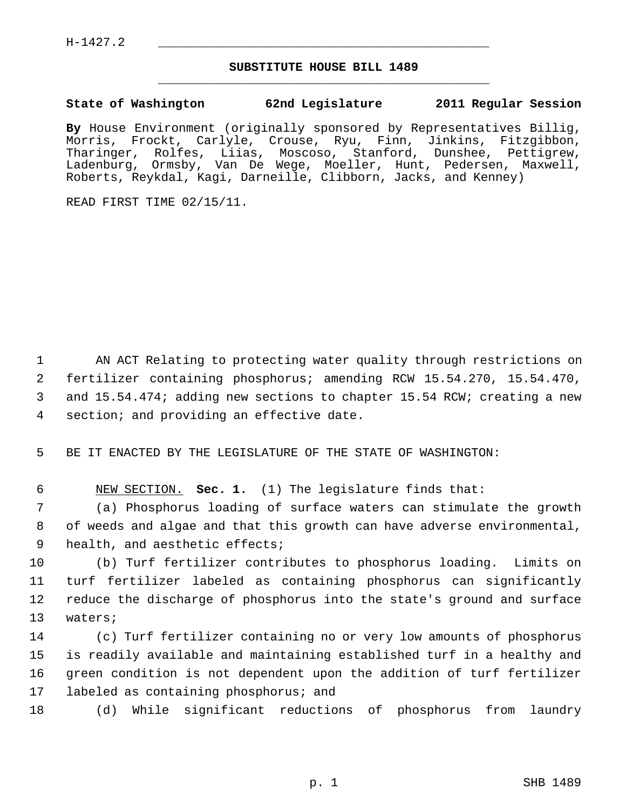## **SUBSTITUTE HOUSE BILL 1489** \_\_\_\_\_\_\_\_\_\_\_\_\_\_\_\_\_\_\_\_\_\_\_\_\_\_\_\_\_\_\_\_\_\_\_\_\_\_\_\_\_\_\_\_\_

## **State of Washington 62nd Legislature 2011 Regular Session**

**By** House Environment (originally sponsored by Representatives Billig, Morris, Frockt, Carlyle, Crouse, Ryu, Finn, Jinkins, Fitzgibbon, Tharinger, Rolfes, Liias, Moscoso, Stanford, Dunshee, Pettigrew, Ladenburg, Ormsby, Van De Wege, Moeller, Hunt, Pedersen, Maxwell, Roberts, Reykdal, Kagi, Darneille, Clibborn, Jacks, and Kenney)

READ FIRST TIME 02/15/11.

 1 AN ACT Relating to protecting water quality through restrictions on 2 fertilizer containing phosphorus; amending RCW 15.54.270, 15.54.470, 3 and 15.54.474; adding new sections to chapter 15.54 RCW; creating a new 4 section; and providing an effective date.

5 BE IT ENACTED BY THE LEGISLATURE OF THE STATE OF WASHINGTON:

6 NEW SECTION. **Sec. 1.** (1) The legislature finds that:

 7 (a) Phosphorus loading of surface waters can stimulate the growth 8 of weeds and algae and that this growth can have adverse environmental, 9 health, and aesthetic effects;

10 (b) Turf fertilizer contributes to phosphorus loading. Limits on 11 turf fertilizer labeled as containing phosphorus can significantly 12 reduce the discharge of phosphorus into the state's ground and surface 13 waters;

14 (c) Turf fertilizer containing no or very low amounts of phosphorus 15 is readily available and maintaining established turf in a healthy and 16 green condition is not dependent upon the addition of turf fertilizer 17 labeled as containing phosphorus; and

18 (d) While significant reductions of phosphorus from laundry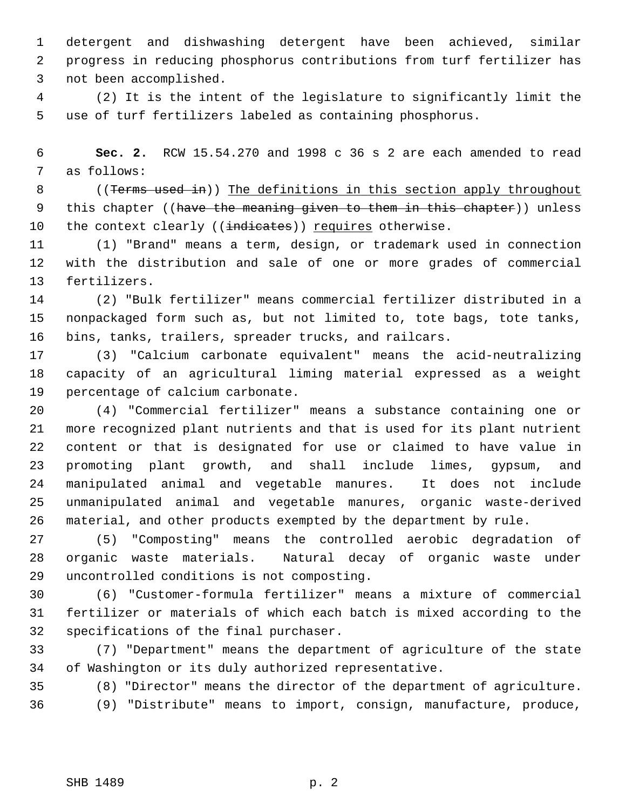1 detergent and dishwashing detergent have been achieved, similar 2 progress in reducing phosphorus contributions from turf fertilizer has 3 not been accomplished.

 4 (2) It is the intent of the legislature to significantly limit the 5 use of turf fertilizers labeled as containing phosphorus.

 6 **Sec. 2.** RCW 15.54.270 and 1998 c 36 s 2 are each amended to read 7 as follows:

8 ((Terms used in)) The definitions in this section apply throughout 9 this chapter ((have the meaning given to them in this chapter)) unless 10 the context clearly ((indicates)) requires otherwise.

11 (1) "Brand" means a term, design, or trademark used in connection 12 with the distribution and sale of one or more grades of commercial 13 fertilizers.

14 (2) "Bulk fertilizer" means commercial fertilizer distributed in a 15 nonpackaged form such as, but not limited to, tote bags, tote tanks, 16 bins, tanks, trailers, spreader trucks, and railcars.

17 (3) "Calcium carbonate equivalent" means the acid-neutralizing 18 capacity of an agricultural liming material expressed as a weight 19 percentage of calcium carbonate.

20 (4) "Commercial fertilizer" means a substance containing one or 21 more recognized plant nutrients and that is used for its plant nutrient 22 content or that is designated for use or claimed to have value in 23 promoting plant growth, and shall include limes, gypsum, and 24 manipulated animal and vegetable manures. It does not include 25 unmanipulated animal and vegetable manures, organic waste-derived 26 material, and other products exempted by the department by rule.

27 (5) "Composting" means the controlled aerobic degradation of 28 organic waste materials. Natural decay of organic waste under 29 uncontrolled conditions is not composting.

30 (6) "Customer-formula fertilizer" means a mixture of commercial 31 fertilizer or materials of which each batch is mixed according to the 32 specifications of the final purchaser.

33 (7) "Department" means the department of agriculture of the state 34 of Washington or its duly authorized representative.

35 (8) "Director" means the director of the department of agriculture. 36 (9) "Distribute" means to import, consign, manufacture, produce,

SHB 1489 p. 2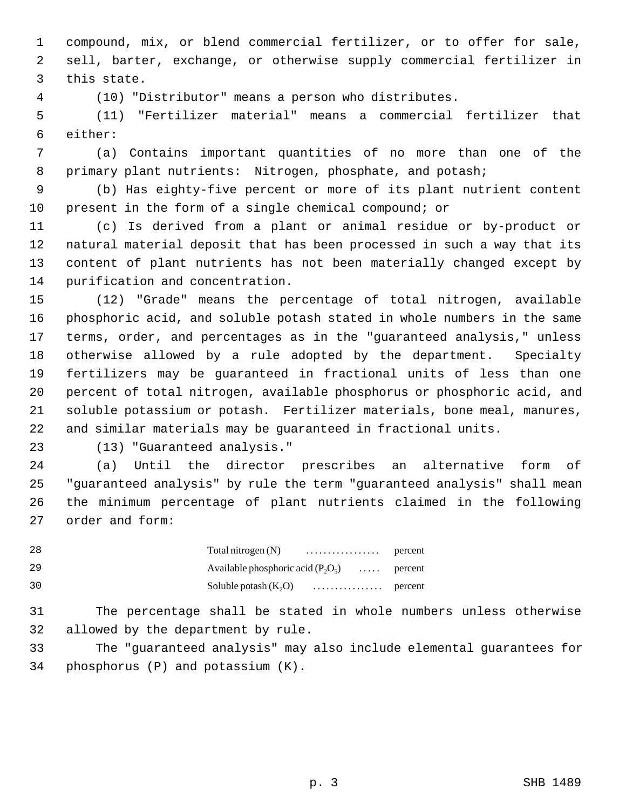1 compound, mix, or blend commercial fertilizer, or to offer for sale, 2 sell, barter, exchange, or otherwise supply commercial fertilizer in 3 this state.

4 (10) "Distributor" means a person who distributes.

 5 (11) "Fertilizer material" means a commercial fertilizer that 6 either:

 7 (a) Contains important quantities of no more than one of the 8 primary plant nutrients: Nitrogen, phosphate, and potash;

 9 (b) Has eighty-five percent or more of its plant nutrient content 10 present in the form of a single chemical compound; or

11 (c) Is derived from a plant or animal residue or by-product or 12 natural material deposit that has been processed in such a way that its 13 content of plant nutrients has not been materially changed except by 14 purification and concentration.

15 (12) "Grade" means the percentage of total nitrogen, available 16 phosphoric acid, and soluble potash stated in whole numbers in the same 17 terms, order, and percentages as in the "guaranteed analysis," unless 18 otherwise allowed by a rule adopted by the department. Specialty 19 fertilizers may be guaranteed in fractional units of less than one 20 percent of total nitrogen, available phosphorus or phosphoric acid, and 21 soluble potassium or potash. Fertilizer materials, bone meal, manures, 22 and similar materials may be guaranteed in fractional units.

23 (13) "Guaranteed analysis."

24 (a) Until the director prescribes an alternative form of 25 "guaranteed analysis" by rule the term "guaranteed analysis" shall mean 26 the minimum percentage of plant nutrients claimed in the following 27 order and form:

| 28 | Total nitrogen $(N)$                 | percent          |
|----|--------------------------------------|------------------|
| 29 | Available phosphoric acid $(P_2O_5)$ | $\ldots$ percent |
| 30 | Soluble potash $(K, O)$              |                  |

31 The percentage shall be stated in whole numbers unless otherwise 32 allowed by the department by rule.

33 The "guaranteed analysis" may also include elemental guarantees for 34 phosphorus (P) and potassium (K).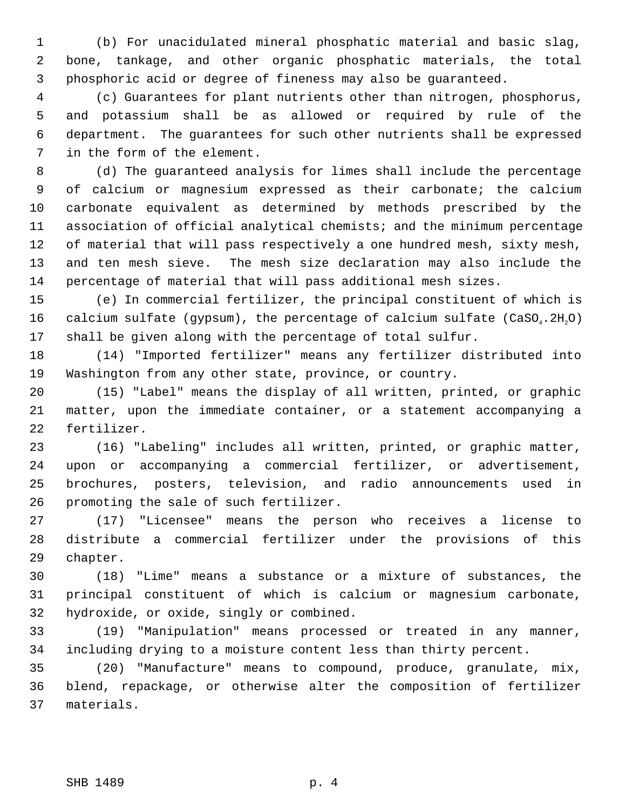1 (b) For unacidulated mineral phosphatic material and basic slag, 2 bone, tankage, and other organic phosphatic materials, the total 3 phosphoric acid or degree of fineness may also be guaranteed.

 4 (c) Guarantees for plant nutrients other than nitrogen, phosphorus, 5 and potassium shall be as allowed or required by rule of the 6 department. The guarantees for such other nutrients shall be expressed 7 in the form of the element.

 8 (d) The guaranteed analysis for limes shall include the percentage 9 of calcium or magnesium expressed as their carbonate; the calcium 10 carbonate equivalent as determined by methods prescribed by the 11 association of official analytical chemists; and the minimum percentage 12 of material that will pass respectively a one hundred mesh, sixty mesh, 13 and ten mesh sieve. The mesh size declaration may also include the 14 percentage of material that will pass additional mesh sizes.

15 (e) In commercial fertilizer, the principal constituent of which is 16 calcium sulfate (gypsum), the percentage of calcium sulfate  $(CaSO_4.2H,0)$ 17 shall be given along with the percentage of total sulfur.

18 (14) "Imported fertilizer" means any fertilizer distributed into 19 Washington from any other state, province, or country.

20 (15) "Label" means the display of all written, printed, or graphic 21 matter, upon the immediate container, or a statement accompanying a 22 fertilizer.

23 (16) "Labeling" includes all written, printed, or graphic matter, 24 upon or accompanying a commercial fertilizer, or advertisement, 25 brochures, posters, television, and radio announcements used in 26 promoting the sale of such fertilizer.

27 (17) "Licensee" means the person who receives a license to 28 distribute a commercial fertilizer under the provisions of this 29 chapter.

30 (18) "Lime" means a substance or a mixture of substances, the 31 principal constituent of which is calcium or magnesium carbonate, 32 hydroxide, or oxide, singly or combined.

33 (19) "Manipulation" means processed or treated in any manner, 34 including drying to a moisture content less than thirty percent.

35 (20) "Manufacture" means to compound, produce, granulate, mix, 36 blend, repackage, or otherwise alter the composition of fertilizer 37 materials.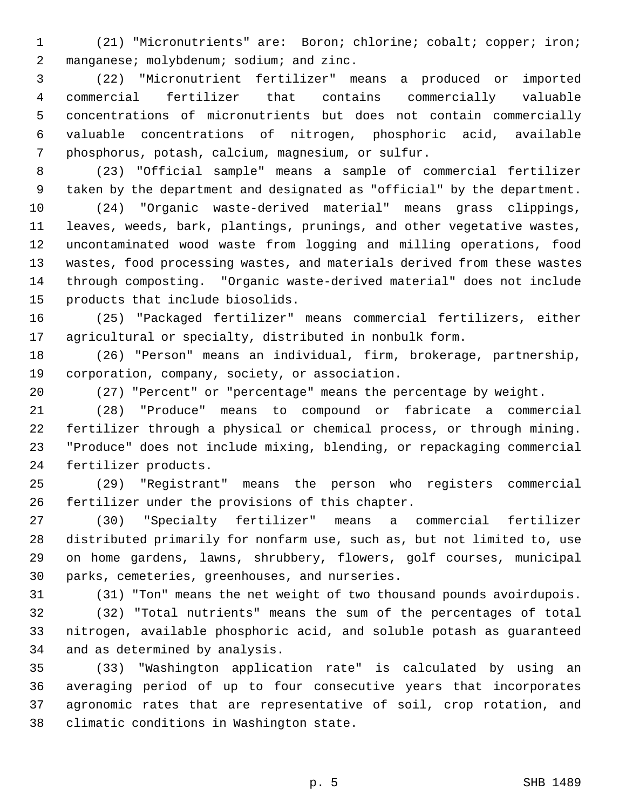1 (21) "Micronutrients" are: Boron; chlorine; cobalt; copper; iron; 2 manganese; molybdenum; sodium; and zinc.

 3 (22) "Micronutrient fertilizer" means a produced or imported 4 commercial fertilizer that contains commercially valuable 5 concentrations of micronutrients but does not contain commercially 6 valuable concentrations of nitrogen, phosphoric acid, available 7 phosphorus, potash, calcium, magnesium, or sulfur.

 8 (23) "Official sample" means a sample of commercial fertilizer 9 taken by the department and designated as "official" by the department.

10 (24) "Organic waste-derived material" means grass clippings, 11 leaves, weeds, bark, plantings, prunings, and other vegetative wastes, 12 uncontaminated wood waste from logging and milling operations, food 13 wastes, food processing wastes, and materials derived from these wastes 14 through composting. "Organic waste-derived material" does not include 15 products that include biosolids.

16 (25) "Packaged fertilizer" means commercial fertilizers, either 17 agricultural or specialty, distributed in nonbulk form.

18 (26) "Person" means an individual, firm, brokerage, partnership, 19 corporation, company, society, or association.

20 (27) "Percent" or "percentage" means the percentage by weight.

21 (28) "Produce" means to compound or fabricate a commercial 22 fertilizer through a physical or chemical process, or through mining. 23 "Produce" does not include mixing, blending, or repackaging commercial 24 fertilizer products.

25 (29) "Registrant" means the person who registers commercial 26 fertilizer under the provisions of this chapter.

27 (30) "Specialty fertilizer" means a commercial fertilizer 28 distributed primarily for nonfarm use, such as, but not limited to, use 29 on home gardens, lawns, shrubbery, flowers, golf courses, municipal 30 parks, cemeteries, greenhouses, and nurseries.

31 (31) "Ton" means the net weight of two thousand pounds avoirdupois.

32 (32) "Total nutrients" means the sum of the percentages of total 33 nitrogen, available phosphoric acid, and soluble potash as guaranteed 34 and as determined by analysis.

35 (33) "Washington application rate" is calculated by using an 36 averaging period of up to four consecutive years that incorporates 37 agronomic rates that are representative of soil, crop rotation, and 38 climatic conditions in Washington state.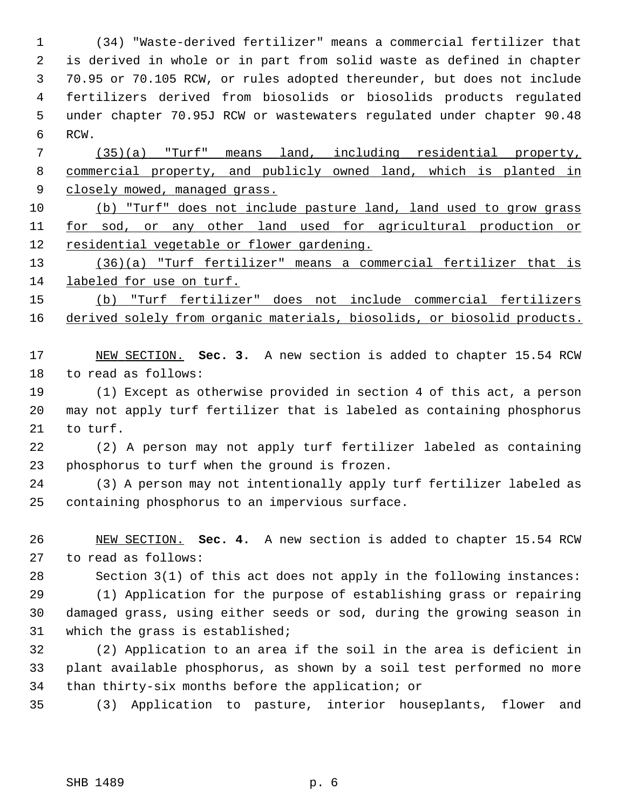1 (34) "Waste-derived fertilizer" means a commercial fertilizer that 2 is derived in whole or in part from solid waste as defined in chapter 3 70.95 or 70.105 RCW, or rules adopted thereunder, but does not include 4 fertilizers derived from biosolids or biosolids products regulated 5 under chapter 70.95J RCW or wastewaters regulated under chapter 90.48 6 RCW. 7 (35)(a) "Turf" means land, including residential property, 8 commercial property, and publicly owned land, which is planted in 9 closely mowed, managed grass.

10 (b) "Turf" does not include pasture land, land used to grow grass 11 for sod, or any other land used for agricultural production or 12 residential vegetable or flower gardening.

13 (36)(a) "Turf fertilizer" means a commercial fertilizer that is 14 labeled for use on turf.

15 (b) "Turf fertilizer" does not include commercial fertilizers 16 derived solely from organic materials, biosolids, or biosolid products.

17 NEW SECTION. **Sec. 3.** A new section is added to chapter 15.54 RCW 18 to read as follows:

19 (1) Except as otherwise provided in section 4 of this act, a person 20 may not apply turf fertilizer that is labeled as containing phosphorus 21 to turf.

22 (2) A person may not apply turf fertilizer labeled as containing 23 phosphorus to turf when the ground is frozen.

24 (3) A person may not intentionally apply turf fertilizer labeled as 25 containing phosphorus to an impervious surface.

26 NEW SECTION. **Sec. 4.** A new section is added to chapter 15.54 RCW 27 to read as follows:

28 Section 3(1) of this act does not apply in the following instances:

29 (1) Application for the purpose of establishing grass or repairing 30 damaged grass, using either seeds or sod, during the growing season in 31 which the grass is established;

32 (2) Application to an area if the soil in the area is deficient in 33 plant available phosphorus, as shown by a soil test performed no more 34 than thirty-six months before the application; or

35 (3) Application to pasture, interior houseplants, flower and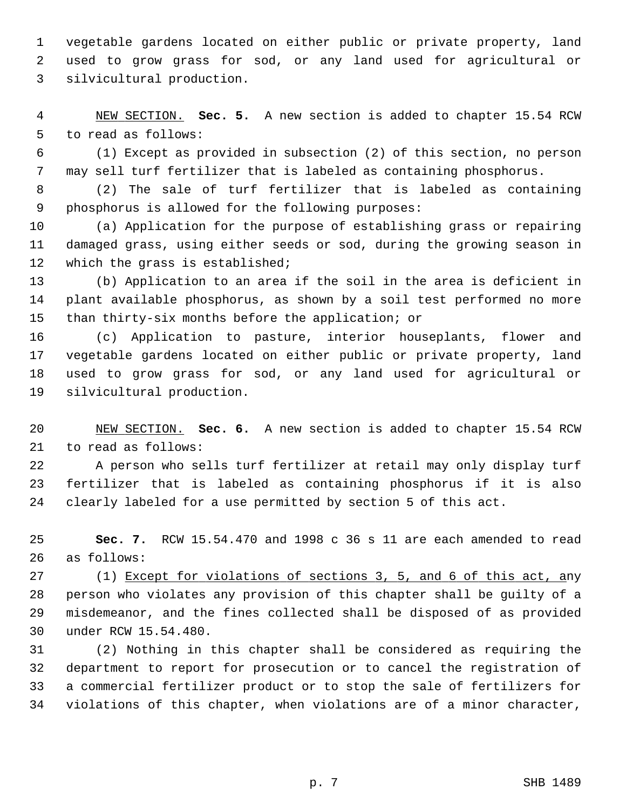1 vegetable gardens located on either public or private property, land 2 used to grow grass for sod, or any land used for agricultural or 3 silvicultural production.

 4 NEW SECTION. **Sec. 5.** A new section is added to chapter 15.54 RCW 5 to read as follows:

 6 (1) Except as provided in subsection (2) of this section, no person 7 may sell turf fertilizer that is labeled as containing phosphorus.

 8 (2) The sale of turf fertilizer that is labeled as containing 9 phosphorus is allowed for the following purposes:

10 (a) Application for the purpose of establishing grass or repairing 11 damaged grass, using either seeds or sod, during the growing season in 12 which the grass is established;

13 (b) Application to an area if the soil in the area is deficient in 14 plant available phosphorus, as shown by a soil test performed no more 15 than thirty-six months before the application; or

16 (c) Application to pasture, interior houseplants, flower and 17 vegetable gardens located on either public or private property, land 18 used to grow grass for sod, or any land used for agricultural or 19 silvicultural production.

20 NEW SECTION. **Sec. 6.** A new section is added to chapter 15.54 RCW 21 to read as follows:

22 A person who sells turf fertilizer at retail may only display turf 23 fertilizer that is labeled as containing phosphorus if it is also 24 clearly labeled for a use permitted by section 5 of this act.

25 **Sec. 7.** RCW 15.54.470 and 1998 c 36 s 11 are each amended to read 26 as follows:

27 (1) Except for violations of sections 3, 5, and 6 of this act, any 28 person who violates any provision of this chapter shall be guilty of a 29 misdemeanor, and the fines collected shall be disposed of as provided 30 under RCW 15.54.480.

31 (2) Nothing in this chapter shall be considered as requiring the 32 department to report for prosecution or to cancel the registration of 33 a commercial fertilizer product or to stop the sale of fertilizers for 34 violations of this chapter, when violations are of a minor character,